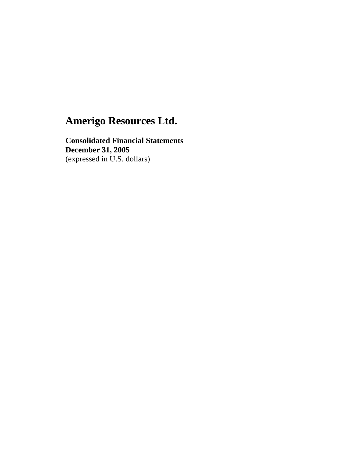**Consolidated Financial Statements December 31, 2005**  (expressed in U.S. dollars)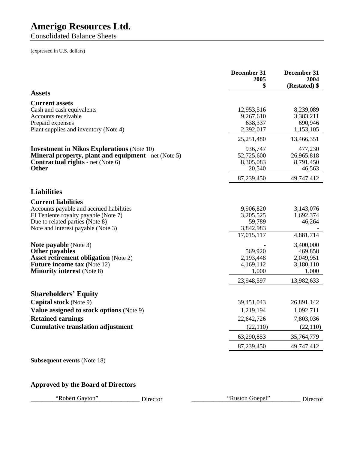Consolidated Balance Sheets

(expressed in U.S. dollars)

|                                                                                                                                                                              | December 31<br>2005<br>\$                    | December 31<br>2004<br>(Restated) \$         |
|------------------------------------------------------------------------------------------------------------------------------------------------------------------------------|----------------------------------------------|----------------------------------------------|
| <b>Assets</b>                                                                                                                                                                |                                              |                                              |
| <b>Current assets</b>                                                                                                                                                        |                                              |                                              |
| Cash and cash equivalents<br>Accounts receivable                                                                                                                             | 12,953,516<br>9,267,610                      | 8,239,089<br>3,383,211                       |
| Prepaid expenses<br>Plant supplies and inventory (Note 4)                                                                                                                    | 638,337<br>2,392,017                         | 690,946<br>1,153,105                         |
|                                                                                                                                                                              | 25,251,480                                   | 13,466,351                                   |
| <b>Investment in Nikos Explorations (Note 10)</b><br><b>Mineral property, plant and equipment</b> - net (Note 5)<br><b>Contractual rights</b> - net (Note 6)<br><b>Other</b> | 936,747<br>52,725,600<br>8,305,083<br>20,540 | 477,230<br>26,965,818<br>8,791,450<br>46,563 |
|                                                                                                                                                                              | 87,239,450                                   | 49,747,412                                   |
| <b>Liabilities</b>                                                                                                                                                           |                                              |                                              |
| <b>Current liabilities</b>                                                                                                                                                   |                                              |                                              |
| Accounts payable and accrued liabilities<br>El Teniente royalty payable (Note 7)                                                                                             | 9,906,820<br>3,205,525                       | 3,143,076<br>1,692,374                       |
| Due to related parties (Note 8)<br>Note and interest payable (Note 3)                                                                                                        | 59,789<br>3,842,983                          | 46,264                                       |
|                                                                                                                                                                              | 17,015,117                                   | 4,881,714                                    |
| <b>Note payable</b> (Note 3)                                                                                                                                                 |                                              | 3,400,000                                    |
| Other payables<br><b>Asset retirement obligation</b> (Note 2)                                                                                                                | 569,920<br>2,193,448                         | 469,858<br>2,049,951                         |
| <b>Future income tax (Note 12)</b>                                                                                                                                           | 4,169,112                                    | 3,180,110                                    |
| <b>Minority interest</b> (Note 8)                                                                                                                                            | 1,000                                        | 1,000                                        |
|                                                                                                                                                                              | 23,948,597                                   | 13,982,633                                   |
| <b>Shareholders' Equity</b>                                                                                                                                                  |                                              |                                              |
| <b>Capital stock</b> (Note 9)                                                                                                                                                | 39,451,043                                   | 26,891,142                                   |
| Value assigned to stock options (Note 9)                                                                                                                                     | 1,219,194                                    | 1,092,711                                    |
| <b>Retained earnings</b>                                                                                                                                                     | 22,642,726                                   | 7,803,036                                    |
| <b>Cumulative translation adjustment</b>                                                                                                                                     | (22,110)                                     | (22, 110)                                    |
|                                                                                                                                                                              | 63,290,853                                   | 35,764,779                                   |
|                                                                                                                                                                              | 87,239,450                                   | 49,747,412                                   |
| <b>Subsequent events (Note 18)</b>                                                                                                                                           |                                              |                                              |

## **Approved by the Board of Directors**

"Robert Gayton" Director "Ruston Goepel" Director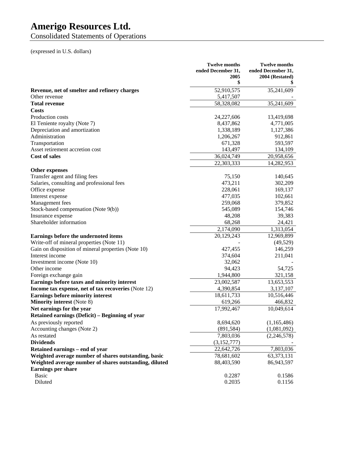Consolidated Statements of Operations

## (expressed in U.S. dollars)

|                                                        | <b>Twelve months</b><br>ended December 31.<br>2005<br>\$ | <b>Twelve months</b><br>ended December 31,<br>2004 (Restated) |
|--------------------------------------------------------|----------------------------------------------------------|---------------------------------------------------------------|
| Revenue, net of smelter and refinery charges           | 52,910,575                                               | 35,241,609                                                    |
| Other revenue                                          | 5,417,507                                                |                                                               |
| <b>Total revenue</b>                                   | 58,328,082                                               | 35,241,609                                                    |
| <b>Costs</b>                                           |                                                          |                                                               |
| Production costs                                       | 24,227,606                                               | 13,419,698                                                    |
| El Teniente royalty (Note 7)                           | 8,437,862                                                | 4,771,005                                                     |
| Depreciation and amortization                          | 1,338,189                                                | 1,127,386                                                     |
| Administration                                         | 1,206,267                                                | 912,861                                                       |
| Transportation                                         | 671,328                                                  | 593,597                                                       |
| Asset retirement accretion cost                        | 143,497                                                  | 134,109                                                       |
| <b>Cost of sales</b>                                   | 36,024,749                                               | 20,958,656                                                    |
|                                                        | 22,303,333                                               | 14,282,953                                                    |
| <b>Other expenses</b>                                  |                                                          |                                                               |
| Transfer agent and filing fees                         | 75,150                                                   | 140,645                                                       |
| Salaries, consulting and professional fees             | 473,211                                                  | 302,209                                                       |
| Office expense                                         | 228,061                                                  | 169,137                                                       |
| Interest expense                                       | 477,035                                                  | 102,661                                                       |
| Management fees                                        | 259,068                                                  | 379,852                                                       |
| Stock-based compensation (Note 9(b))                   | 545,089                                                  | 154,746                                                       |
| Insurance expense                                      | 48,208                                                   | 39,383                                                        |
| Shareholder information                                | 68,268                                                   | 24,421                                                        |
|                                                        | 2,174,090                                                | 1,313,054                                                     |
| Earnings before the undernoted items                   | 20,129,243                                               | 12,969,899                                                    |
| Write-off of mineral properties (Note 11)              |                                                          | (49, 529)                                                     |
| Gain on disposition of mineral properties (Note 10)    | 427,455                                                  | 146,259                                                       |
| Interest income                                        | 374,604                                                  | 211,041                                                       |
| Investment income (Note 10)                            | 32,062                                                   |                                                               |
| Other income                                           | 94,423                                                   | 54,725                                                        |
| Foreign exchange gain                                  | 1,944,800                                                | 321,158                                                       |
| Earnings before taxes and minority interest            | 23,002,587                                               | 13,653,553                                                    |
| Income tax expense, net of tax recoveries (Note 12)    | 4,390,854                                                | 3,137,107                                                     |
| <b>Earnings before minority interest</b>               | 18,611,733                                               | 10,516,446                                                    |
| <b>Minority interest (Note 8)</b>                      | 619,266                                                  | 466,832                                                       |
| Net earnings for the year                              | 17,992,467                                               | 10,049,614                                                    |
| Retained earnings (Deficit) - Beginning of year        |                                                          |                                                               |
| As previously reported                                 | 8,694,620                                                | (1,165,486)                                                   |
| Accounting changes (Note 2)                            | (891, 584)                                               | (1,081,092)                                                   |
| As restated                                            | 7,803,036                                                | (2, 246, 578)                                                 |
| <b>Dividends</b>                                       | (3,152,777)                                              |                                                               |
| Retained earnings – end of year                        | 22,642,726                                               | 7,803,036                                                     |
| Weighted average number of shares outstanding, basic   | 78,681,602                                               | 63,373,131                                                    |
| Weighted average number of shares outstanding, diluted | 88,403,590                                               | 86,943,597                                                    |
| <b>Earnings per share</b>                              |                                                          |                                                               |
| <b>Basic</b>                                           | 0.2287                                                   | 0.1586                                                        |
| Diluted                                                | 0.2035                                                   | 0.1156                                                        |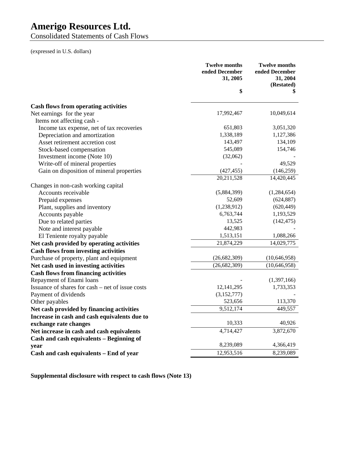Consolidated Statements of Cash Flows

(expressed in U.S. dollars)

|                                                  | <b>Twelve months</b><br>ended December<br>31, 2005 | <b>Twelve months</b><br>ended December<br>31, 2004<br>(Restated) |
|--------------------------------------------------|----------------------------------------------------|------------------------------------------------------------------|
|                                                  | \$                                                 | \$                                                               |
| <b>Cash flows from operating activities</b>      |                                                    |                                                                  |
| Net earnings for the year                        | 17,992,467                                         | 10,049,614                                                       |
| Items not affecting cash -                       |                                                    |                                                                  |
| Income tax expense, net of tax recoveries        | 651,803                                            | 3,051,320                                                        |
| Depreciation and amortization                    | 1,338,189                                          | 1,127,386                                                        |
| Asset retirement accretion cost                  | 143,497                                            | 134,109                                                          |
| Stock-based compensation                         | 545,089                                            | 154,746                                                          |
| Investment income (Note 10)                      | (32,062)                                           |                                                                  |
| Write-off of mineral properties                  |                                                    | 49,529                                                           |
| Gain on disposition of mineral properties        | (427, 455)                                         | (146, 259)                                                       |
|                                                  | 20,211,528                                         | 14,420,445                                                       |
| Changes in non-cash working capital              |                                                    |                                                                  |
| Accounts receivable                              | (5,884,399)                                        | (1,284,654)                                                      |
| Prepaid expenses                                 | 52,609                                             | (624, 887)                                                       |
| Plant, supplies and inventory                    | (1,238,912)                                        | (620, 449)                                                       |
| Accounts payable                                 | 6,763,744                                          | 1,193,529                                                        |
| Due to related parties                           | 13,525                                             | (142, 475)                                                       |
| Note and interest payable                        | 442,983                                            |                                                                  |
| El Teniente royalty payable                      | 1,513,151                                          | 1,088,266                                                        |
| Net cash provided by operating activities        | 21,874,229                                         | 14,029,775                                                       |
| <b>Cash flows from investing activities</b>      |                                                    |                                                                  |
| Purchase of property, plant and equipment        | (26, 682, 309)                                     | (10, 646, 958)                                                   |
| Net cash used in investing activities            | (26, 682, 309)                                     | (10, 646, 958)                                                   |
| <b>Cash flows from financing activities</b>      |                                                    |                                                                  |
| Repayment of Enami loans                         |                                                    | (1,397,166)                                                      |
| Issuance of shares for cash – net of issue costs | 12, 141, 295                                       | 1,733,353                                                        |
| Payment of dividends                             | (3,152,777)                                        |                                                                  |
| Other payables                                   | 523,656                                            | 113,370                                                          |
| Net cash provided by financing activities        | $\overline{9,}512,174$                             | 449,557                                                          |
| Increase in cash and cash equivalents due to     |                                                    |                                                                  |
| exchange rate changes                            | 10,333                                             | 40,926                                                           |
| Net increase in cash and cash equivalents        | 4,714,427                                          | 3,872,670                                                        |
| Cash and cash equivalents - Beginning of         |                                                    |                                                                  |
| year                                             | 8,239,089                                          | 4,366,419                                                        |
| Cash and cash equivalents - End of year          | 12,953,516                                         | 8,239,089                                                        |

**Supplemental disclosure with respect to cash flows (Note 13)**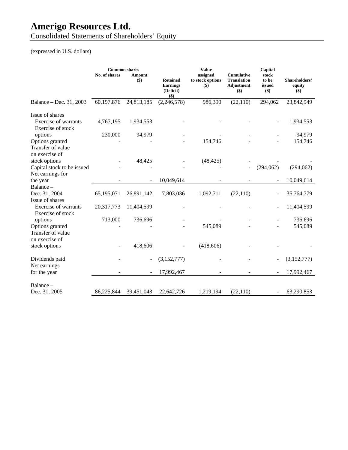Consolidated Statements of Shareholders' Equity

(expressed in U.S. dollars)

|                                                        | No. of shares | <b>Common shares</b><br>Amount<br>\$) | <b>Retained</b><br><b>Earnings</b><br>(Deficit)<br>$($ \$) | <b>Value</b><br>assigned<br>to stock options<br>$($)$ | <b>Cumulative</b><br><b>Translation</b><br><b>Adjustment</b><br>$($ \$) | Capital<br>stock<br>to be<br>issued<br>$($ \$) | Shareholders'<br>equity<br>$($)$ |
|--------------------------------------------------------|---------------|---------------------------------------|------------------------------------------------------------|-------------------------------------------------------|-------------------------------------------------------------------------|------------------------------------------------|----------------------------------|
| Balance - Dec. 31, 2003                                | 60,197,876    | 24,813,185                            | (2, 246, 578)                                              | 986,390                                               | (22, 110)                                                               | 294,062                                        | 23,842,949                       |
| Issue of shares                                        |               |                                       |                                                            |                                                       |                                                                         |                                                |                                  |
| Exercise of warrants<br>Exercise of stock              | 4,767,195     | 1,934,553                             |                                                            |                                                       |                                                                         |                                                | 1,934,553                        |
| options                                                | 230,000       | 94,979                                |                                                            |                                                       |                                                                         |                                                | 94,979                           |
| Options granted<br>Transfer of value<br>on exercise of |               |                                       |                                                            | 154,746                                               |                                                                         |                                                | 154,746                          |
| stock options                                          |               | 48,425                                |                                                            | (48, 425)                                             |                                                                         |                                                |                                  |
| Capital stock to be issued                             |               |                                       |                                                            |                                                       |                                                                         | (294,062)                                      | (294,062)                        |
| Net earnings for                                       |               |                                       |                                                            |                                                       |                                                                         |                                                |                                  |
| the year<br>Balance-                                   |               |                                       | 10,049,614                                                 |                                                       |                                                                         |                                                | 10,049,614                       |
| Dec. 31, 2004                                          | 65,195,071    | 26,891,142                            | 7,803,036                                                  | 1,092,711                                             | (22, 110)                                                               |                                                | 35,764,779                       |
| Issue of shares                                        |               |                                       |                                                            |                                                       |                                                                         |                                                |                                  |
| <b>Exercise of warrants</b><br>Exercise of stock       | 20,317,773    | 11,404,599                            |                                                            |                                                       |                                                                         |                                                | 11,404,599                       |
| options                                                | 713,000       | 736,696                               |                                                            |                                                       |                                                                         |                                                | 736,696                          |
| Options granted                                        |               |                                       |                                                            | 545,089                                               |                                                                         |                                                | 545,089                          |
| Transfer of value                                      |               |                                       |                                                            |                                                       |                                                                         |                                                |                                  |
| on exercise of                                         |               |                                       |                                                            |                                                       |                                                                         |                                                |                                  |
| stock options                                          |               | 418,606                               |                                                            | (418, 606)                                            |                                                                         |                                                |                                  |
| Dividends paid<br>Net earnings                         |               |                                       | (3,152,777)                                                |                                                       |                                                                         |                                                | (3,152,777)                      |
| for the year                                           |               |                                       | 17,992,467                                                 |                                                       |                                                                         |                                                | 17,992,467                       |
|                                                        |               |                                       |                                                            |                                                       |                                                                         |                                                |                                  |
| Balance-                                               |               |                                       |                                                            |                                                       |                                                                         |                                                |                                  |
| Dec. 31, 2005                                          | 86,225,844    | 39,451,043                            | 22,642,726                                                 | 1,219,194                                             | (22, 110)                                                               |                                                | 63,290,853                       |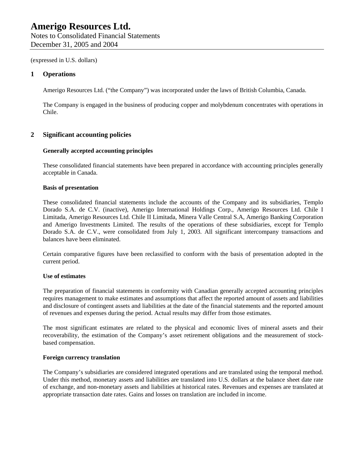Notes to Consolidated Financial Statements December 31, 2005 and 2004

(expressed in U.S. dollars)

### **1 Operations**

Amerigo Resources Ltd. ("the Company") was incorporated under the laws of British Columbia, Canada.

The Company is engaged in the business of producing copper and molybdenum concentrates with operations in Chile.

### **2 Significant accounting policies**

#### **Generally accepted accounting principles**

These consolidated financial statements have been prepared in accordance with accounting principles generally acceptable in Canada.

#### **Basis of presentation**

These consolidated financial statements include the accounts of the Company and its subsidiaries, Templo Dorado S.A. de C.V. (inactive), Amerigo International Holdings Corp., Amerigo Resources Ltd. Chile I Limitada, Amerigo Resources Ltd. Chile II Limitada, Minera Valle Central S.A, Amerigo Banking Corporation and Amerigo Investments Limited. The results of the operations of these subsidiaries, except for Templo Dorado S.A. de C.V., were consolidated from July 1, 2003. All significant intercompany transactions and balances have been eliminated.

Certain comparative figures have been reclassified to conform with the basis of presentation adopted in the current period.

#### **Use of estimates**

The preparation of financial statements in conformity with Canadian generally accepted accounting principles requires management to make estimates and assumptions that affect the reported amount of assets and liabilities and disclosure of contingent assets and liabilities at the date of the financial statements and the reported amount of revenues and expenses during the period. Actual results may differ from those estimates.

The most significant estimates are related to the physical and economic lives of mineral assets and their recoverability, the estimation of the Company's asset retirement obligations and the measurement of stockbased compensation.

#### **Foreign currency translation**

The Company's subsidiaries are considered integrated operations and are translated using the temporal method. Under this method, monetary assets and liabilities are translated into U.S. dollars at the balance sheet date rate of exchange, and non-monetary assets and liabilities at historical rates. Revenues and expenses are translated at appropriate transaction date rates. Gains and losses on translation are included in income.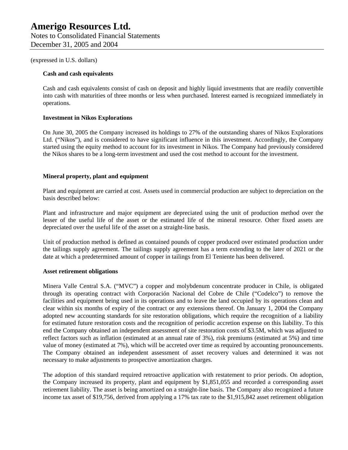#### **Cash and cash equivalents**

Cash and cash equivalents consist of cash on deposit and highly liquid investments that are readily convertible into cash with maturities of three months or less when purchased. Interest earned is recognized immediately in operations.

#### **Investment in Nikos Explorations**

On June 30, 2005 the Company increased its holdings to 27% of the outstanding shares of Nikos Explorations Ltd. ("Nikos"), and is considered to have significant influence in this investment. Accordingly, the Company started using the equity method to account for its investment in Nikos. The Company had previously considered the Nikos shares to be a long-term investment and used the cost method to account for the investment.

#### **Mineral property, plant and equipment**

Plant and equipment are carried at cost. Assets used in commercial production are subject to depreciation on the basis described below:

Plant and infrastructure and major equipment are depreciated using the unit of production method over the lesser of the useful life of the asset or the estimated life of the mineral resource. Other fixed assets are depreciated over the useful life of the asset on a straight-line basis.

Unit of production method is defined as contained pounds of copper produced over estimated production under the tailings supply agreement. The tailings supply agreement has a term extending to the later of 2021 or the date at which a predetermined amount of copper in tailings from El Teniente has been delivered.

#### **Asset retirement obligations**

Minera Valle Central S.A. ("MVC") a copper and molybdenum concentrate producer in Chile, is obligated through its operating contract with Corporación Nacional del Cobre de Chile ("Codelco") to remove the facilities and equipment being used in its operations and to leave the land occupied by its operations clean and clear within six months of expiry of the contract or any extensions thereof. On January 1, 2004 the Company adopted new accounting standards for site restoration obligations, which require the recognition of a liability for estimated future restoration costs and the recognition of periodic accretion expense on this liability. To this end the Company obtained an independent assessment of site restoration costs of \$3.5M, which was adjusted to reflect factors such as inflation (estimated at an annual rate of 3%), risk premiums (estimated at 5%) and time value of money (estimated at 7%), which will be accreted over time as required by accounting pronouncements. The Company obtained an independent assessment of asset recovery values and determined it was not necessary to make adjustments to prospective amortization charges.

The adoption of this standard required retroactive application with restatement to prior periods. On adoption, the Company increased its property, plant and equipment by \$1,851,055 and recorded a corresponding asset retirement liability. The asset is being amortized on a straight-line basis. The Company also recognized a future income tax asset of \$19,756, derived from applying a 17% tax rate to the \$1,915,842 asset retirement obligation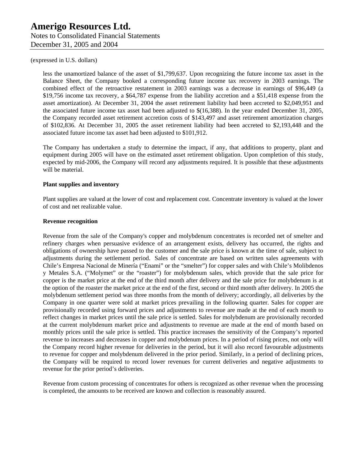less the unamortized balance of the asset of \$1,799,637. Upon recognizing the future income tax asset in the Balance Sheet, the Company booked a corresponding future income tax recovery in 2003 earnings. The combined effect of the retroactive restatement in 2003 earnings was a decrease in earnings of \$96,449 (a \$19,756 income tax recovery, a \$64,787 expense from the liability accretion and a \$51,418 expense from the asset amortization). At December 31, 2004 the asset retirement liability had been accreted to \$2,049,951 and the associated future income tax asset had been adjusted to \$(16,388). In the year ended December 31, 2005, the Company recorded asset retirement accretion costs of \$143,497 and asset retirement amortization charges of \$102,836. At December 31, 2005 the asset retirement liability had been accreted to \$2,193,448 and the associated future income tax asset had been adjusted to \$101,912.

The Company has undertaken a study to determine the impact, if any, that additions to property, plant and equipment during 2005 will have on the estimated asset retirement obligation. Upon completion of this study, expected by mid-2006, the Company will record any adjustments required. It is possible that these adjustments will be material.

#### **Plant supplies and inventory**

Plant supplies are valued at the lower of cost and replacement cost. Concentrate inventory is valued at the lower of cost and net realizable value.

#### **Revenue recognition**

Revenue from the sale of the Company's copper and molybdenum concentrates is recorded net of smelter and refinery charges when persuasive evidence of an arrangement exists, delivery has occurred, the rights and obligations of ownership have passed to the customer and the sale price is known at the time of sale, subject to adjustments during the settlement period. Sales of concentrate are based on written sales agreements with Chile's Empresa Nacional de Minería ("Enami" or the "smelter") for copper sales and with Chile's Molibdenos y Metales S.A. ("Molymet" or the "roaster") for molybdenum sales, which provide that the sale price for copper is the market price at the end of the third month after delivery and the sale price for molybdenum is at the option of the roaster the market price at the end of the first, second or third month after delivery. In 2005 the molybdenum settlement period was three months from the month of delivery; accordingly, all deliveries by the Company in one quarter were sold at market prices prevailing in the following quarter. Sales for copper are provisionally recorded using forward prices and adjustments to revenue are made at the end of each month to reflect changes in market prices until the sale price is settled. Sales for molybdenum are provisionally recorded at the current molybdenum market price and adjustments to revenue are made at the end of month based on monthly prices until the sale price is settled. This practice increases the sensitivity of the Company's reported revenue to increases and decreases in copper and molybdenum prices. In a period of rising prices, not only will the Company record higher revenue for deliveries in the period, but it will also record favourable adjustments to revenue for copper and molybdenum delivered in the prior period. Similarly, in a period of declining prices, the Company will be required to record lower revenues for current deliveries and negative adjustments to revenue for the prior period's deliveries.

Revenue from custom processing of concentrates for others is recognized as other revenue when the processing is completed, the amounts to be received are known and collection is reasonably assured.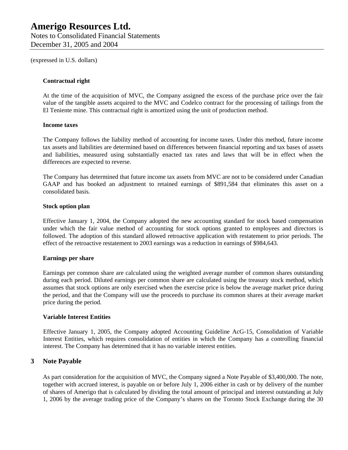Notes to Consolidated Financial Statements December 31, 2005 and 2004

(expressed in U.S. dollars)

#### **Contractual right**

At the time of the acquisition of MVC, the Company assigned the excess of the purchase price over the fair value of the tangible assets acquired to the MVC and Codelco contract for the processing of tailings from the El Teniente mine. This contractual right is amortized using the unit of production method.

#### **Income taxes**

The Company follows the liability method of accounting for income taxes. Under this method, future income tax assets and liabilities are determined based on differences between financial reporting and tax bases of assets and liabilities, measured using substantially enacted tax rates and laws that will be in effect when the differences are expected to reverse.

The Company has determined that future income tax assets from MVC are not to be considered under Canadian GAAP and has booked an adjustment to retained earnings of \$891,584 that eliminates this asset on a consolidated basis.

#### **Stock option plan**

Effective January 1, 2004, the Company adopted the new accounting standard for stock based compensation under which the fair value method of accounting for stock options granted to employees and directors is followed. The adoption of this standard allowed retroactive application with restatement to prior periods. The effect of the retroactive restatement to 2003 earnings was a reduction in earnings of \$984,643.

#### **Earnings per share**

Earnings per common share are calculated using the weighted average number of common shares outstanding during each period. Diluted earnings per common share are calculated using the treasury stock method, which assumes that stock options are only exercised when the exercise price is below the average market price during the period, and that the Company will use the proceeds to purchase its common shares at their average market price during the period.

#### **Variable Interest Entities**

Effective January 1, 2005, the Company adopted Accounting Guideline AcG-15, Consolidation of Variable Interest Entities, which requires consolidation of entities in which the Company has a controlling financial interest. The Company has determined that it has no variable interest entities.

#### **3 Note Payable**

As part consideration for the acquisition of MVC, the Company signed a Note Payable of \$3,400,000. The note, together with accrued interest, is payable on or before July 1, 2006 either in cash or by delivery of the number of shares of Amerigo that is calculated by dividing the total amount of principal and interest outstanding at July 1, 2006 by the average trading price of the Company's shares on the Toronto Stock Exchange during the 30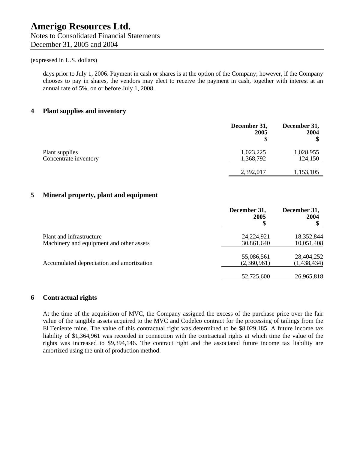days prior to July 1, 2006. Payment in cash or shares is at the option of the Company; however, if the Company chooses to pay in shares, the vendors may elect to receive the payment in cash, together with interest at an annual rate of 5%, on or before July 1, 2008.

#### **4 Plant supplies and inventory**

|                       | December 31,<br>2005 | December 31,<br>2004 |
|-----------------------|----------------------|----------------------|
| Plant supplies        | 1,023,225            | 1,028,955            |
| Concentrate inventory | 1,368,792            | 124,150              |
|                       | 2,392,017            | 1,153,105            |

#### **5 Mineral property, plant and equipment**

|                                                                      | December 31,<br>2005      | December 31,<br>2004      |
|----------------------------------------------------------------------|---------------------------|---------------------------|
| Plant and infrastructure<br>Machinery and equipment and other assets | 24,224,921<br>30,861,640  | 18,352,844<br>10,051,408  |
| Accumulated depreciation and amortization                            | 55,086,561<br>(2,360,961) | 28,404,252<br>(1,438,434) |
|                                                                      | 52,725,600                | 26,965,818                |

### **6 Contractual rights**

At the time of the acquisition of MVC, the Company assigned the excess of the purchase price over the fair value of the tangible assets acquired to the MVC and Codelco contract for the processing of tailings from the El Teniente mine. The value of this contractual right was determined to be \$8,029,185. A future income tax liability of \$1,364,961 was recorded in connection with the contractual rights at which time the value of the rights was increased to \$9,394,146. The contract right and the associated future income tax liability are amortized using the unit of production method.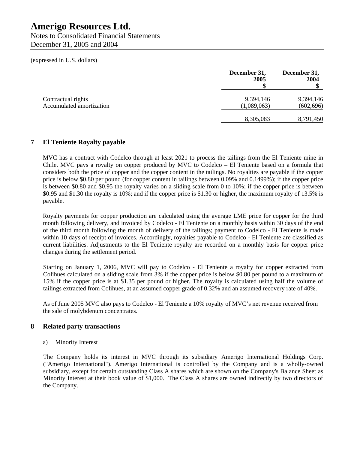Notes to Consolidated Financial Statements December 31, 2005 and 2004

(expressed in U.S. dollars)

|                          | December 31,<br>2005 | December 31,<br>2004 |
|--------------------------|----------------------|----------------------|
| Contractual rights       | 9,394,146            | 9,394,146            |
| Accumulated amortization | (1,089,063)          | (602, 696)           |
|                          | 8,305,083            | 8,791,450            |

### **7 El Teniente Royalty payable**

MVC has a contract with Codelco through at least 2021 to process the tailings from the El Teniente mine in Chile. MVC pays a royalty on copper produced by MVC to Codelco – El Teniente based on a formula that considers both the price of copper and the copper content in the tailings. No royalties are payable if the copper price is below \$0.80 per pound (for copper content in tailings between 0.09% and 0.1499%); if the copper price is between \$0.80 and \$0.95 the royalty varies on a sliding scale from 0 to 10%; if the copper price is between \$0.95 and \$1.30 the royalty is 10%; and if the copper price is \$1.30 or higher, the maximum royalty of 13.5% is payable.

Royalty payments for copper production are calculated using the average LME price for copper for the third month following delivery, and invoiced by Codelco - El Teniente on a monthly basis within 30 days of the end of the third month following the month of delivery of the tailings; payment to Codelco - El Teniente is made within 10 days of receipt of invoices. Accordingly, royalties payable to Codelco - El Teniente are classified as current liabilities. Adjustments to the El Teniente royalty are recorded on a monthly basis for copper price changes during the settlement period.

Starting on January 1, 2006, MVC will pay to Codelco - El Teniente a royalty for copper extracted from Colihues calculated on a sliding scale from 3% if the copper price is below \$0.80 per pound to a maximum of 15% if the copper price is at \$1.35 per pound or higher. The royalty is calculated using half the volume of tailings extracted from Colihues, at an assumed copper grade of 0.32% and an assumed recovery rate of 40%.

As of June 2005 MVC also pays to Codelco - El Teniente a 10% royalty of MVC's net revenue received from the sale of molybdenum concentrates.

### **8 Related party transactions**

#### a) Minority Interest

The Company holds its interest in MVC through its subsidiary Amerigo International Holdings Corp. ("Amerigo International"). Amerigo International is controlled by the Company and is a wholly-owned subsidiary, except for certain outstanding Class A shares which are shown on the Company's Balance Sheet as Minority Interest at their book value of \$1,000. The Class A shares are owned indirectly by two directors of the Company.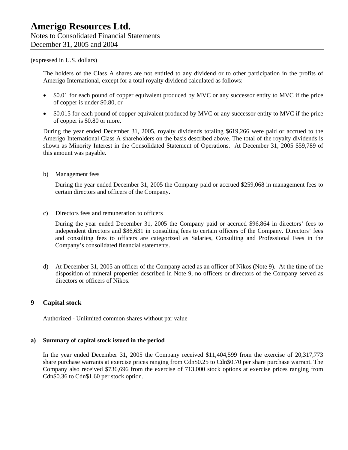The holders of the Class A shares are not entitled to any dividend or to other participation in the profits of Amerigo International, except for a total royalty dividend calculated as follows:

- \$0.01 for each pound of copper equivalent produced by MVC or any successor entity to MVC if the price of copper is under \$0.80, or
- \$0.015 for each pound of copper equivalent produced by MVC or any successor entity to MVC if the price of copper is \$0.80 or more.

During the year ended December 31, 2005, royalty dividends totaling \$619,266 were paid or accrued to the Amerigo International Class A shareholders on the basis described above. The total of the royalty dividends is shown as Minority Interest in the Consolidated Statement of Operations. At December 31, 2005 \$59,789 of this amount was payable.

b) Management fees

During the year ended December 31, 2005 the Company paid or accrued \$259,068 in management fees to certain directors and officers of the Company.

c) Directors fees and remuneration to officers

During the year ended December 31, 2005 the Company paid or accrued \$96,864 in directors' fees to independent directors and \$86,631 in consulting fees to certain officers of the Company. Directors' fees and consulting fees to officers are categorized as Salaries, Consulting and Professional Fees in the Company's consolidated financial statements.

d) At December 31, 2005 an officer of the Company acted as an officer of Nikos (Note 9). At the time of the disposition of mineral properties described in Note 9, no officers or directors of the Company served as directors or officers of Nikos.

#### **9 Capital stock**

Authorized - Unlimited common shares without par value

#### **a) Summary of capital stock issued in the period**

In the year ended December 31, 2005 the Company received \$11,404,599 from the exercise of 20,317,773 share purchase warrants at exercise prices ranging from Cdn\$0.25 to Cdn\$0.70 per share purchase warrant. The Company also received \$736,696 from the exercise of 713,000 stock options at exercise prices ranging from Cdn\$0.36 to Cdn\$1.60 per stock option.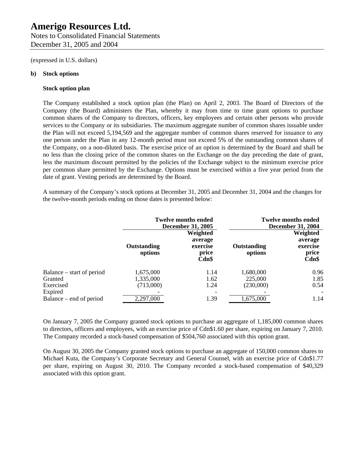Notes to Consolidated Financial Statements December 31, 2005 and 2004

(expressed in U.S. dollars)

#### **b) Stock options**

#### **Stock option plan**

The Company established a stock option plan (the Plan) on April 2, 2003. The Board of Directors of the Company (the Board) administers the Plan, whereby it may from time to time grant options to purchase common shares of the Company to directors, officers, key employees and certain other persons who provide services to the Company or its subsidiaries. The maximum aggregate number of common shares issuable under the Plan will not exceed 5,194,569 and the aggregate number of common shares reserved for issuance to any one person under the Plan in any 12-month period must not exceed 5% of the outstanding common shares of the Company, on a non-diluted basis. The exercise price of an option is determined by the Board and shall be no less than the closing price of the common shares on the Exchange on the day preceding the date of grant, less the maximum discount permitted by the policies of the Exchange subject to the minimum exercise price per common share permitted by the Exchange. Options must be exercised within a five year period from the date of grant. Vesting periods are determined by the Board.

A summary of the Company's stock options at December 31, 2005 and December 31, 2004 and the changes for the twelve-month periods ending on those dates is presented below:

|                           | <b>Twelve months ended</b><br><b>December 31, 2005</b> |                                                      |                        | <b>Twelve months ended</b><br><b>December 31, 2004</b> |
|---------------------------|--------------------------------------------------------|------------------------------------------------------|------------------------|--------------------------------------------------------|
|                           | Outstanding<br>options                                 | Weighted<br>average<br>exercise<br>price<br>$Cdn$ \$ | Outstanding<br>options | Weighted<br>average<br>exercise<br>price<br>$Cdn$ \$   |
| Balance – start of period | 1,675,000                                              | 1.14                                                 | 1,680,000              | 0.96                                                   |
| Granted                   | 1,335,000                                              | 1.62                                                 | 225,000                | 1.85                                                   |
| Exercised                 | (713,000)                                              | 1.24                                                 | (230,000)              | 0.54                                                   |
| Expired                   |                                                        |                                                      |                        |                                                        |
| Balance – end of period   | 2,297,000                                              | 1.39                                                 | 1,675,000              | 1.14                                                   |

On January 7, 2005 the Company granted stock options to purchase an aggregate of 1,185,000 common shares to directors, officers and employees, with an exercise price of Cdn\$1.60 per share, expiring on January 7, 2010. The Company recorded a stock-based compensation of \$504,760 associated with this option grant.

On August 30, 2005 the Company granted stock options to purchase an aggregate of 150,000 common shares to Michael Kuta, the Company's Corporate Secretary and General Counsel, with an exercise price of Cdn\$1.77 per share, expiring on August 30, 2010. The Company recorded a stock-based compensation of \$40,329 associated with this option grant.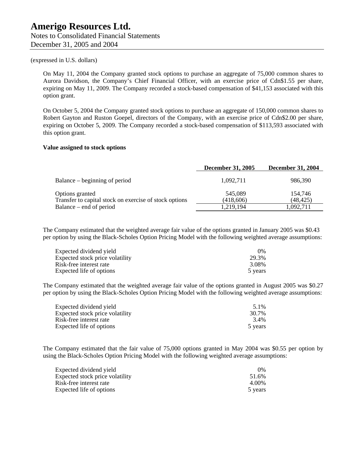On May 11, 2004 the Company granted stock options to purchase an aggregate of 75,000 common shares to Aurora Davidson, the Company's Chief Financial Officer, with an exercise price of Cdn\$1.55 per share, expiring on May 11, 2009. The Company recorded a stock-based compensation of \$41,153 associated with this option grant.

On October 5, 2004 the Company granted stock options to purchase an aggregate of 150,000 common shares to Robert Gayton and Ruston Goepel, directors of the Company, with an exercise price of Cdn\$2.00 per share, expiring on October 5, 2009. The Company recorded a stock-based compensation of \$113,593 associated with this option grant.

#### **Value assigned to stock options**

|                                                        | <b>December 31, 2005</b> | <b>December 31, 2004</b> |
|--------------------------------------------------------|--------------------------|--------------------------|
| Balance – beginning of period                          | 1,092,711                | 986,390                  |
| Options granted                                        | 545,089                  | 154,746                  |
| Transfer to capital stock on exercise of stock options | (418,606)                | (48, 425)                |
| Balance – end of period                                | 1,219,194                | 1,092,711                |

The Company estimated that the weighted average fair value of the options granted in January 2005 was \$0.43 per option by using the Black-Scholes Option Pricing Model with the following weighted average assumptions:

| Expected dividend yield         | $0\%$   |
|---------------------------------|---------|
| Expected stock price volatility | 29.3%   |
| Risk-free interest rate         | 3.08%   |
| Expected life of options        | 5 years |

The Company estimated that the weighted average fair value of the options granted in August 2005 was \$0.27 per option by using the Black-Scholes Option Pricing Model with the following weighted average assumptions:

| Expected dividend yield         | 5.1%    |
|---------------------------------|---------|
| Expected stock price volatility | 30.7%   |
| Risk-free interest rate         | 3.4%    |
| Expected life of options        | 5 years |

The Company estimated that the fair value of 75,000 options granted in May 2004 was \$0.55 per option by using the Black-Scholes Option Pricing Model with the following weighted average assumptions:

| Expected dividend yield         | $0\%$   |
|---------------------------------|---------|
| Expected stock price volatility | 51.6%   |
| Risk-free interest rate         | 4.00%   |
| Expected life of options        | 5 years |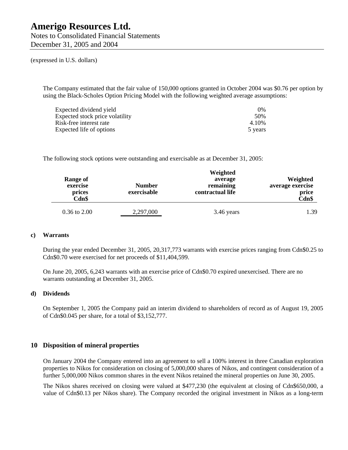Notes to Consolidated Financial Statements December 31, 2005 and 2004

(expressed in U.S. dollars)

The Company estimated that the fair value of 150,000 options granted in October 2004 was \$0.76 per option by using the Black-Scholes Option Pricing Model with the following weighted average assumptions:

| Expected dividend yield         | 0%      |
|---------------------------------|---------|
| Expected stock price volatility | 50%     |
| Risk-free interest rate         | 4.10%   |
| Expected life of options        | 5 years |

The following stock options were outstanding and exercisable as at December 31, 2005:

| Range of<br>exercise<br>prices<br>Cdn\$ | <b>Number</b><br>exercisable | Weighted<br>average<br>remaining<br>contractual life | Weighted<br>average exercise<br>price<br>Cdn\$ |
|-----------------------------------------|------------------------------|------------------------------------------------------|------------------------------------------------|
| $0.36$ to $2.00$                        | 2,297,000                    | 3.46 years                                           | 1.39                                           |

#### **c) Warrants**

During the year ended December 31, 2005, 20,317,773 warrants with exercise prices ranging from Cdn\$0.25 to Cdn\$0.70 were exercised for net proceeds of \$11,404,599.

On June 20, 2005, 6,243 warrants with an exercise price of Cdn\$0.70 expired unexercised. There are no warrants outstanding at December 31, 2005.

#### **d) Dividends**

On September 1, 2005 the Company paid an interim dividend to shareholders of record as of August 19, 2005 of Cdn\$0.045 per share, for a total of \$3,152,777.

#### **10 Disposition of mineral properties**

On January 2004 the Company entered into an agreement to sell a 100% interest in three Canadian exploration properties to Nikos for consideration on closing of 5,000,000 shares of Nikos, and contingent consideration of a further 5,000,000 Nikos common shares in the event Nikos retained the mineral properties on June 30, 2005.

The Nikos shares received on closing were valued at \$477,230 (the equivalent at closing of Cdn\$650,000, a value of Cdn\$0.13 per Nikos share). The Company recorded the original investment in Nikos as a long-term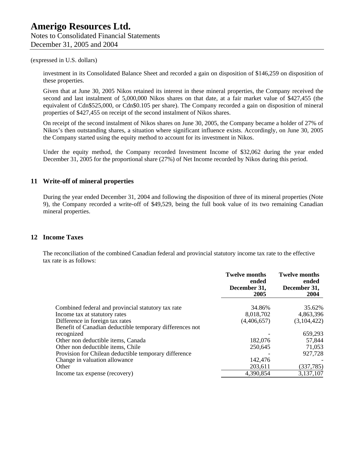investment in its Consolidated Balance Sheet and recorded a gain on disposition of \$146,259 on disposition of these properties.

Given that at June 30, 2005 Nikos retained its interest in these mineral properties, the Company received the second and last instalment of 5,000,000 Nikos shares on that date, at a fair market value of \$427,455 (the equivalent of Cdn\$525,000, or Cdn\$0.105 per share). The Company recorded a gain on disposition of mineral properties of \$427,455 on receipt of the second instalment of Nikos shares.

On receipt of the second instalment of Nikos shares on June 30, 2005, the Company became a holder of 27% of Nikos's then outstanding shares, a situation where significant influence exists. Accordingly, on June 30, 2005 the Company started using the equity method to account for its investment in Nikos.

Under the equity method, the Company recorded Investment Income of \$32,062 during the year ended December 31, 2005 for the proportional share (27%) of Net Income recorded by Nikos during this period.

### **11 Write-off of mineral properties**

During the year ended December 31, 2004 and following the disposition of three of its mineral properties (Note 9), the Company recorded a write-off of \$49,529, being the full book value of its two remaining Canadian mineral properties.

### **12 Income Taxes**

The reconciliation of the combined Canadian federal and provincial statutory income tax rate to the effective tax rate is as follows:

|                                                          | <b>Twelve months</b><br>ended<br>December 31,<br>2005 | <b>Twelve months</b><br>ended<br>December 31,<br>2004 |
|----------------------------------------------------------|-------------------------------------------------------|-------------------------------------------------------|
| Combined federal and provincial statutory tax rate       | 34.86%                                                | 35.62%                                                |
| Income tax at statutory rates                            | 8,018,702                                             | 4,863,396                                             |
| Difference in foreign tax rates                          | (4,406,657)                                           | (3,104,422)                                           |
| Benefit of Canadian deductible temporary differences not |                                                       |                                                       |
| recognized                                               |                                                       | 659,293                                               |
| Other non deductible items, Canada                       | 182,076                                               | 57,844                                                |
| Other non deductible items, Chile                        | 250,645                                               | 71,053                                                |
| Provision for Chilean deductible temporary difference    |                                                       | 927,728                                               |
| Change in valuation allowance                            | 142,476                                               |                                                       |
| Other                                                    | 203,611                                               | (337, 785)                                            |
| Income tax expense (recovery)                            | 4,390,854                                             | 3,137,107                                             |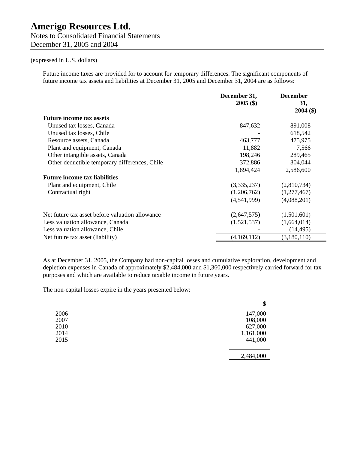Notes to Consolidated Financial Statements December 31, 2005 and 2004

#### (expressed in U.S. dollars)

Future income taxes are provided for to account for temporary differences. The significant components of future income tax assets and liabilities at December 31, 2005 and December 31, 2004 are as follows:

|                                                 | December 31,<br>$2005($ \$) | <b>December</b><br>31, |
|-------------------------------------------------|-----------------------------|------------------------|
|                                                 |                             | $2004($ \$)            |
| <b>Future income tax assets</b>                 |                             |                        |
| Unused tax losses, Canada                       | 847,632                     | 891,008                |
| Unused tax losses, Chile                        |                             | 618,542                |
| Resource assets, Canada                         | 463,777                     | 475,975                |
| Plant and equipment, Canada                     | 11,882                      | 7,566                  |
| Other intangible assets, Canada                 | 198,246                     | 289,465                |
| Other deductible temporary differences, Chile   | 372,886                     | 304,044                |
|                                                 | 1,894,424                   | 2,586,600              |
| <b>Future income tax liabilities</b>            |                             |                        |
| Plant and equipment, Chile                      | (3,335,237)                 | (2,810,734)            |
| Contractual right                               | (1,206,762)                 | (1,277,467)            |
|                                                 | (4,541,999)                 | (4,088,201)            |
| Net future tax asset before valuation allowance | (2,647,575)                 | (1,501,601)            |
| Less valuation allowance, Canada                | (1,521,537)                 | (1,664,014)            |
| Less valuation allowance, Chile                 |                             | (14, 495)              |
| Net future tax asset (liability)                | (4,169,112)                 | (3,180,110)            |

As at December 31, 2005, the Company had non-capital losses and cumulative exploration, development and depletion expenses in Canada of approximately \$2,484,000 and \$1,360,000 respectively carried forward for tax purposes and which are available to reduce taxable income in future years.

The non-capital losses expire in the years presented below:

|      | \$        |
|------|-----------|
| 2006 | 147,000   |
| 2007 | 108,000   |
| 2010 | 627,000   |
| 2014 | 1,161,000 |
| 2015 | 441,000   |
|      |           |
|      | 2,484,000 |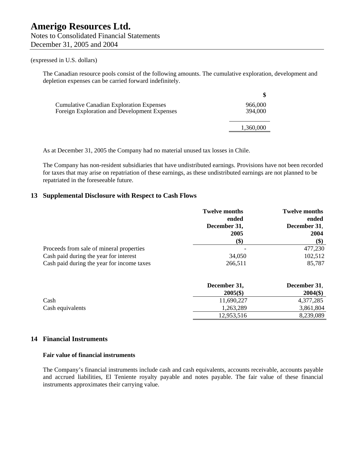The Canadian resource pools consist of the following amounts. The cumulative exploration, development and depletion expenses can be carried forward indefinitely.

| <b>Cumulative Canadian Exploration Expenses</b> | 966,000   |
|-------------------------------------------------|-----------|
| Foreign Exploration and Development Expenses    | 394,000   |
|                                                 |           |
|                                                 | 1,360,000 |
|                                                 |           |

As at December 31, 2005 the Company had no material unused tax losses in Chile.

The Company has non-resident subsidiaries that have undistributed earnings. Provisions have not been recorded for taxes that may arise on repatriation of these earnings, as these undistributed earnings are not planned to be repatriated in the foreseeable future.

#### **13 Supplemental Disclosure with Respect to Cash Flows**

|                                            | <b>Twelve months</b><br>ended<br>December 31,<br>2005 | <b>Twelve months</b><br>ended<br>December 31,<br>2004 |
|--------------------------------------------|-------------------------------------------------------|-------------------------------------------------------|
|                                            | (\$)                                                  | $\left( \text{\$}\right)$                             |
| Proceeds from sale of mineral properties   |                                                       | 477,230                                               |
| Cash paid during the year for interest     | 34,050                                                | 102,512                                               |
| Cash paid during the year for income taxes | 266,511                                               | 85,787                                                |

|                  | December 31, | December 31, |
|------------------|--------------|--------------|
|                  | $2005($ \$)  | $2004($ \$)  |
| Cash             | 11,690,227   | 4,377,285    |
| Cash equivalents | 1,263,289    | 3,861,804    |
|                  | 12,953,516   | 8,239,089    |

#### **14 Financial Instruments**

#### **Fair value of financial instruments**

The Company's financial instruments include cash and cash equivalents, accounts receivable, accounts payable and accrued liabilities, El Teniente royalty payable and notes payable. The fair value of these financial instruments approximates their carrying value.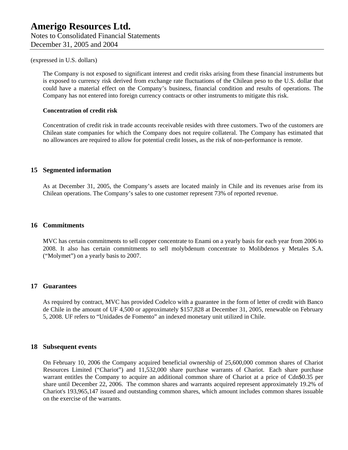The Company is not exposed to significant interest and credit risks arising from these financial instruments but is exposed to currency risk derived from exchange rate fluctuations of the Chilean peso to the U.S. dollar that could have a material effect on the Company's business, financial condition and results of operations. The Company has not entered into foreign currency contracts or other instruments to mitigate this risk.

#### **Concentration of credit risk**

Concentration of credit risk in trade accounts receivable resides with three customers. Two of the customers are Chilean state companies for which the Company does not require collateral. The Company has estimated that no allowances are required to allow for potential credit losses, as the risk of non-performance is remote.

#### **15 Segmented information**

As at December 31, 2005, the Company's assets are located mainly in Chile and its revenues arise from its Chilean operations. The Company's sales to one customer represent 73% of reported revenue.

#### **16 Commitments**

MVC has certain commitments to sell copper concentrate to Enami on a yearly basis for each year from 2006 to 2008. It also has certain commitments to sell molybdenum concentrate to Molibdenos y Metales S.A. ("Molymet") on a yearly basis to 2007.

#### **17 Guarantees**

As required by contract, MVC has provided Codelco with a guarantee in the form of letter of credit with Banco de Chile in the amount of UF 4,500 or approximately \$157,828 at December 31, 2005, renewable on February 5, 2008. UF refers to "Unidades de Fomento" an indexed monetary unit utilized in Chile.

#### **18 Subsequent events**

On February 10, 2006 the Company acquired beneficial ownership of 25,600,000 common shares of Chariot Resources Limited ("Chariot") and 11,532,000 share purchase warrants of Chariot. Each share purchase warrant entitles the Company to acquire an additional common share of Chariot at a price of Cdn\$0.35 per share until December 22, 2006. The common shares and warrants acquired represent approximately 19.2% of Chariot's 193,965,147 issued and outstanding common shares, which amount includes common shares issuable on the exercise of the warrants.